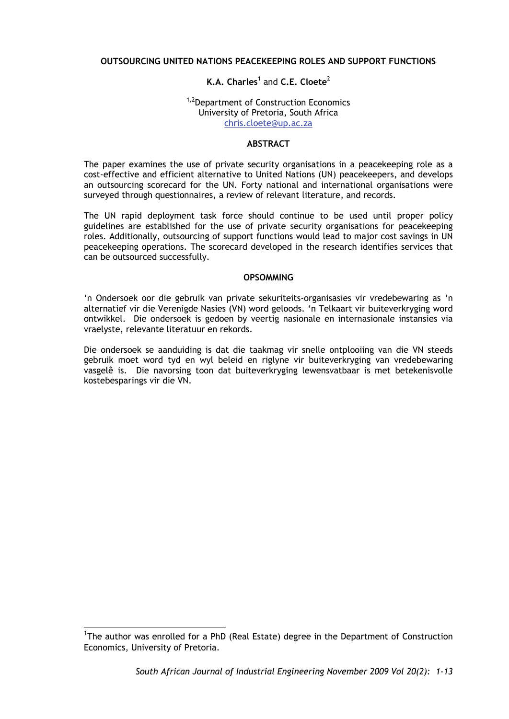## **OUTSOURCING UNITED NATIONS PEACEKEEPING ROLES AND SUPPORT FUNCTIONS**

# **K.A. Charles<sup>1</sup> and C.E. Cloete<sup>2</sup>**

## <sup>1,2</sup>Department of Construction Economics University of Pretoria, South Africa chris.cloete@up.ac.za

## **ABSTRACT**

The paper examines the use of private security organisations in a peacekeeping role as a cost-effective and efficient alternative to United Nations (UN) peacekeepers, and develops an outsourcing scorecard for the UN. Forty national and international organisations were surveyed through questionnaires, a review of relevant literature, and records.

The UN rapid deployment task force should continue to be used until proper policy guidelines are established for the use of private security organisations for peacekeeping roles. Additionally, outsourcing of support functions would lead to major cost savings in UN peacekeeping operations. The scorecard developed in the research identifies services that can be outsourced successfully.

#### **OPSOMMING**

'n Ondersoek oor die gebruik van private sekuriteits-organisasies vir vredebewaring as 'n alternatief vir die Verenigde Nasies (VN) word geloods. 'n Telkaart vir buiteverkryging word ontwikkel. Die ondersoek is gedoen by veertig nasionale en internasionale instansies via vraelyste, relevante literatuur en rekords.

Die ondersoek se aanduiding is dat die taakmag vir snelle ontplooiing van die VN steeds gebruik moet word tyd en wyl beleid en riglyne vir buiteverkryging van vredebewaring vasgelê is. Die navorsing toon dat buiteverkryging lewensvatbaar is met betekenisvolle kostebesparings vir die VN.

-

<sup>&</sup>lt;sup>1</sup>The author was enrolled for a PhD (Real Estate) degree in the Department of Construction Economics, University of Pretoria.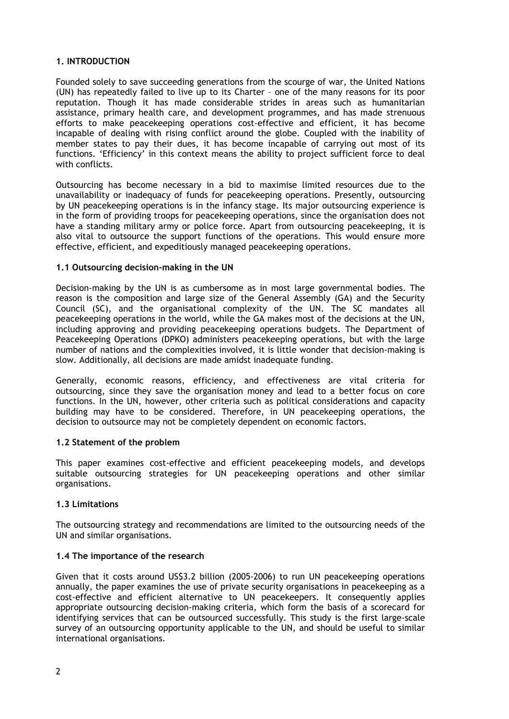## **1. INTRODUCTION**

Founded solely to save succeeding generations from the scourge of war, the United Nations (UN) has repeatedly failed to live up to its Charter – one of the many reasons for its poor reputation. Though it has made considerable strides in areas such as humanitarian assistance, primary health care, and development programmes, and has made strenuous efforts to make peacekeeping operations cost-effective and efficient, it has become incapable of dealing with rising conflict around the globe. Coupled with the inability of member states to pay their dues, it has become incapable of carrying out most of its functions. 'Efficiency' in this context means the ability to project sufficient force to deal with conflicts.

Outsourcing has become necessary in a bid to maximise limited resources due to the unavailability or inadequacy of funds for peacekeeping operations. Presently, outsourcing by UN peacekeeping operations is in the infancy stage. Its major outsourcing experience is in the form of providing troops for peacekeeping operations, since the organisation does not have a standing military army or police force. Apart from outsourcing peacekeeping, it is also vital to outsource the support functions of the operations. This would ensure more effective, efficient, and expeditiously managed peacekeeping operations.

## **1.1 Outsourcing decision-making in the UN**

Decision-making by the UN is as cumbersome as in most large governmental bodies. The reason is the composition and large size of the General Assembly (GA) and the Security Council (SC), and the organisational complexity of the UN. The SC mandates all peacekeeping operations in the world, while the GA makes most of the decisions at the UN, including approving and providing peacekeeping operations budgets. The Department of Peacekeeping Operations (DPKO) administers peacekeeping operations, but with the large number of nations and the complexities involved, it is little wonder that decision-making is slow. Additionally, all decisions are made amidst inadequate funding.

Generally, economic reasons, efficiency, and effectiveness are vital criteria for outsourcing, since they save the organisation money and lead to a better focus on core functions. In the UN, however, other criteria such as political considerations and capacity building may have to be considered. Therefore, in UN peacekeeping operations, the decision to outsource may not be completely dependent on economic factors.

## **1.2 Statement of the problem**

This paper examines cost-effective and efficient peacekeeping models, and develops suitable outsourcing strategies for UN peacekeeping operations and other similar organisations.

## **1.3 Limitations**

The outsourcing strategy and recommendations are limited to the outsourcing needs of the UN and similar organisations.

## **1.4 The importance of the research**

Given that it costs around US\$3.2 billion (2005-2006) to run UN peacekeeping operations annually, the paper examines the use of private security organisations in peacekeeping as a cost-effective and efficient alternative to UN peacekeepers. It consequently applies appropriate outsourcing decision-making criteria, which form the basis of a scorecard for identifying services that can be outsourced successfully. This study is the first large-scale survey of an outsourcing opportunity applicable to the UN, and should be useful to similar international organisations.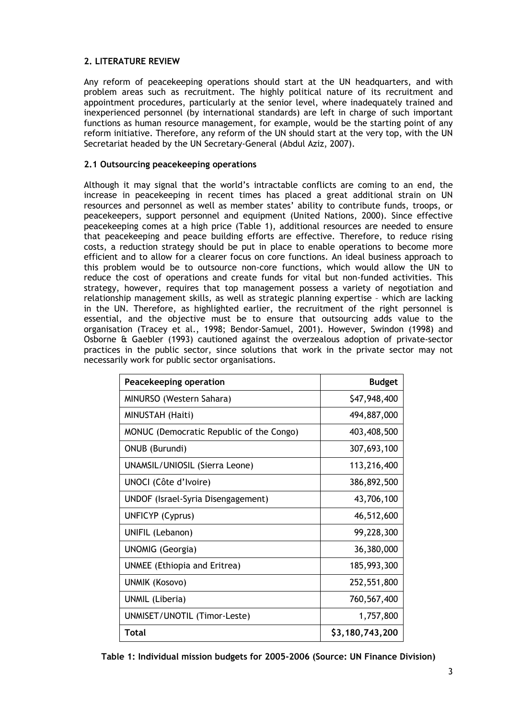## **2. LITERATURE REVIEW**

Any reform of peacekeeping operations should start at the UN headquarters, and with problem areas such as recruitment. The highly political nature of its recruitment and appointment procedures, particularly at the senior level, where inadequately trained and inexperienced personnel (by international standards) are left in charge of such important functions as human resource management, for example, would be the starting point of any reform initiative. Therefore, any reform of the UN should start at the very top, with the UN Secretariat headed by the UN Secretary-General (Abdul Aziz, 2007).

## **2.1 Outsourcing peacekeeping operations**

Although it may signal that the world's intractable conflicts are coming to an end, the increase in peacekeeping in recent times has placed a great additional strain on UN resources and personnel as well as member states' ability to contribute funds, troops, or peacekeepers, support personnel and equipment (United Nations, 2000). Since effective peacekeeping comes at a high price (Table 1), additional resources are needed to ensure that peacekeeping and peace building efforts are effective. Therefore, to reduce rising costs, a reduction strategy should be put in place to enable operations to become more efficient and to allow for a clearer focus on core functions. An ideal business approach to this problem would be to outsource non-core functions, which would allow the UN to reduce the cost of operations and create funds for vital but non-funded activities. This strategy, however, requires that top management possess a variety of negotiation and relationship management skills, as well as strategic planning expertise – which are lacking in the UN. Therefore, as highlighted earlier, the recruitment of the right personnel is essential, and the objective must be to ensure that outsourcing adds value to the organisation (Tracey et al., 1998; Bendor-Samuel, 2001). However, Swindon (1998) and Osborne & Gaebler (1993) cautioned against the overzealous adoption of private-sector practices in the public sector, since solutions that work in the private sector may not necessarily work for public sector organisations.

| Peacekeeping operation                   | <b>Budget</b>   |
|------------------------------------------|-----------------|
| MINURSO (Western Sahara)                 | \$47,948,400    |
| MINUSTAH (Haiti)                         | 494,887,000     |
| MONUC (Democratic Republic of the Congo) | 403,408,500     |
| ONUB (Burundi)                           | 307,693,100     |
| UNAMSIL/UNIOSIL (Sierra Leone)           | 113,216,400     |
| UNOCI (Côte d'Ivoire)                    | 386,892,500     |
| UNDOF (Israel-Syria Disengagement)       | 43,706,100      |
| <b>UNFICYP</b> (Cyprus)                  | 46,512,600      |
| UNIFIL (Lebanon)                         | 99,228,300      |
| <b>UNOMIG</b> (Georgia)                  | 36,380,000      |
| UNMEE (Ethiopia and Eritrea)             | 185,993,300     |
| UNMIK (Kosovo)                           | 252,551,800     |
| UNMIL (Liberia)                          | 760,567,400     |
| UNMISET/UNOTIL (Timor-Leste)             | 1,757,800       |
| Total                                    | \$3,180,743,200 |

**Table 1: Individual mission budgets for 2005-2006 (Source: UN Finance Division)**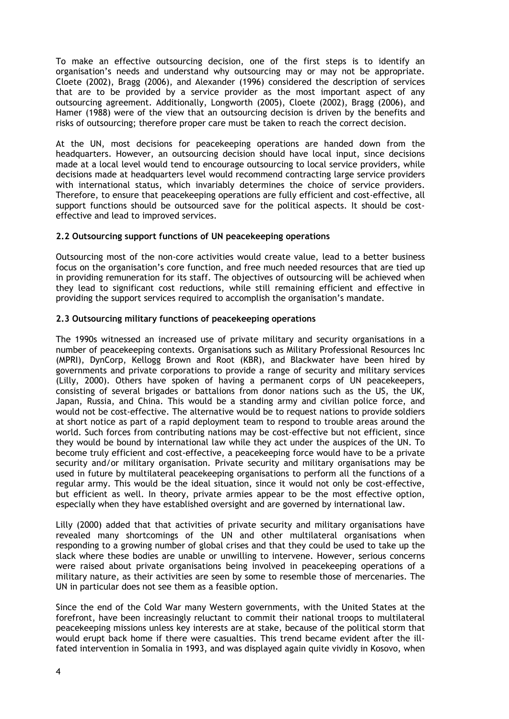To make an effective outsourcing decision, one of the first steps is to identify an organisation's needs and understand why outsourcing may or may not be appropriate. Cloete (2002), Bragg (2006), and Alexander (1996) considered the description of services that are to be provided by a service provider as the most important aspect of any outsourcing agreement. Additionally, Longworth (2005), Cloete (2002), Bragg (2006), and Hamer (1988) were of the view that an outsourcing decision is driven by the benefits and risks of outsourcing; therefore proper care must be taken to reach the correct decision.

At the UN, most decisions for peacekeeping operations are handed down from the headquarters. However, an outsourcing decision should have local input, since decisions made at a local level would tend to encourage outsourcing to local service providers, while decisions made at headquarters level would recommend contracting large service providers with international status, which invariably determines the choice of service providers. Therefore, to ensure that peacekeeping operations are fully efficient and cost-effective, all support functions should be outsourced save for the political aspects. It should be costeffective and lead to improved services.

## **2.2 Outsourcing support functions of UN peacekeeping operations**

Outsourcing most of the non-core activities would create value, lead to a better business focus on the organisation's core function, and free much needed resources that are tied up in providing remuneration for its staff. The objectives of outsourcing will be achieved when they lead to significant cost reductions, while still remaining efficient and effective in providing the support services required to accomplish the organisation's mandate.

## **2.3 Outsourcing military functions of peacekeeping operations**

The 1990s witnessed an increased use of private military and security organisations in a number of peacekeeping contexts. Organisations such as Military Professional Resources Inc (MPRI), DynCorp, Kellogg Brown and Root (KBR), and Blackwater have been hired by governments and private corporations to provide a range of security and military services (Lilly, 2000). Others have spoken of having a permanent corps of UN peacekeepers, consisting of several brigades or battalions from donor nations such as the US, the UK, Japan, Russia, and China. This would be a standing army and civilian police force, and would not be cost-effective. The alternative would be to request nations to provide soldiers at short notice as part of a rapid deployment team to respond to trouble areas around the world. Such forces from contributing nations may be cost-effective but not efficient, since they would be bound by international law while they act under the auspices of the UN. To become truly efficient and cost-effective, a peacekeeping force would have to be a private security and/or military organisation. Private security and military organisations may be used in future by multilateral peacekeeping organisations to perform all the functions of a regular army. This would be the ideal situation, since it would not only be cost-effective, but efficient as well. In theory, private armies appear to be the most effective option, especially when they have established oversight and are governed by international law.

Lilly (2000) added that that activities of private security and military organisations have revealed many shortcomings of the UN and other multilateral organisations when responding to a growing number of global crises and that they could be used to take up the slack where these bodies are unable or unwilling to intervene. However, serious concerns were raised about private organisations being involved in peacekeeping operations of a military nature, as their activities are seen by some to resemble those of mercenaries. The UN in particular does not see them as a feasible option.

Since the end of the Cold War many Western governments, with the United States at the forefront, have been increasingly reluctant to commit their national troops to multilateral peacekeeping missions unless key interests are at stake, because of the political storm that would erupt back home if there were casualties. This trend became evident after the illfated intervention in Somalia in 1993, and was displayed again quite vividly in Kosovo, when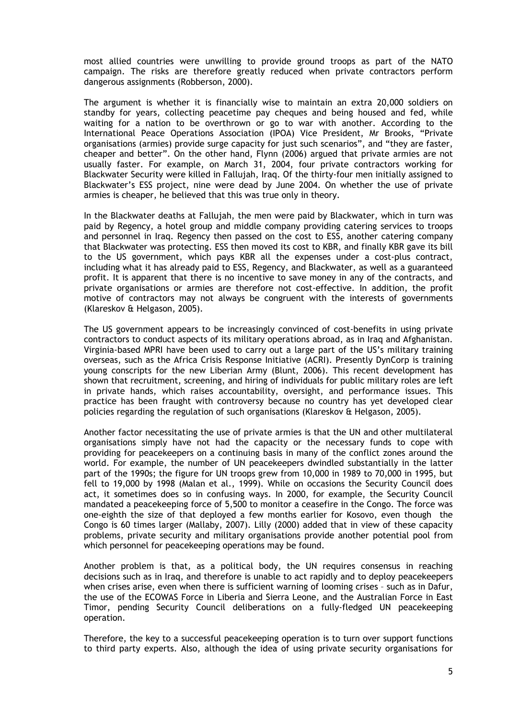most allied countries were unwilling to provide ground troops as part of the NATO campaign. The risks are therefore greatly reduced when private contractors perform dangerous assignments (Robberson, 2000).

The argument is whether it is financially wise to maintain an extra 20,000 soldiers on standby for years, collecting peacetime pay cheques and being housed and fed, while waiting for a nation to be overthrown or go to war with another. According to the International Peace Operations Association (IPOA) Vice President, Mr Brooks, "Private organisations (armies) provide surge capacity for just such scenarios", and "they are faster, cheaper and better". On the other hand, Flynn (2006) argued that private armies are not usually faster. For example, on March 31, 2004, four private contractors working for Blackwater Security were killed in Fallujah, Iraq. Of the thirty-four men initially assigned to Blackwater's ESS project, nine were dead by June 2004. On whether the use of private armies is cheaper, he believed that this was true only in theory.

In the Blackwater deaths at Fallujah, the men were paid by Blackwater, which in turn was paid by Regency, a hotel group and middle company providing catering services to troops and personnel in Iraq. Regency then passed on the cost to ESS, another catering company that Blackwater was protecting. ESS then moved its cost to KBR, and finally KBR gave its bill to the US government, which pays KBR all the expenses under a cost-plus contract, including what it has already paid to ESS, Regency, and Blackwater, as well as a guaranteed profit. It is apparent that there is no incentive to save money in any of the contracts, and private organisations or armies are therefore not cost-effective. In addition, the profit motive of contractors may not always be congruent with the interests of governments (Klareskov & Helgason, 2005).

The US government appears to be increasingly convinced of cost-benefits in using private contractors to conduct aspects of its military operations abroad, as in Iraq and Afghanistan. Virginia-based MPRI have been used to carry out a large part of the US's military training overseas, such as the Africa Crisis Response Initiative (ACRI). Presently DynCorp is training young conscripts for the new Liberian Army (Blunt, 2006). This recent development has shown that recruitment, screening, and hiring of individuals for public military roles are left in private hands, which raises accountability, oversight, and performance issues. This practice has been fraught with controversy because no country has yet developed clear policies regarding the regulation of such organisations (Klareskov & Helgason, 2005).

Another factor necessitating the use of private armies is that the UN and other multilateral organisations simply have not had the capacity or the necessary funds to cope with providing for peacekeepers on a continuing basis in many of the conflict zones around the world. For example, the number of UN peacekeepers dwindled substantially in the latter part of the 1990s; the figure for UN troops grew from 10,000 in 1989 to 70,000 in 1995, but fell to 19,000 by 1998 (Malan et al., 1999). While on occasions the Security Council does act, it sometimes does so in confusing ways. In 2000, for example, the Security Council mandated a peacekeeping force of 5,500 to monitor a ceasefire in the Congo. The force was one-eighth the size of that deployed a few months earlier for Kosovo, even though the Congo is 60 times larger (Mallaby, 2007). Lilly (2000) added that in view of these capacity problems, private security and military organisations provide another potential pool from which personnel for peacekeeping operations may be found.

Another problem is that, as a political body, the UN requires consensus in reaching decisions such as in Iraq, and therefore is unable to act rapidly and to deploy peacekeepers when crises arise, even when there is sufficient warning of looming crises – such as in Dafur, the use of the ECOWAS Force in Liberia and Sierra Leone, and the Australian Force in East Timor, pending Security Council deliberations on a fully-fledged UN peacekeeping operation.

Therefore, the key to a successful peacekeeping operation is to turn over support functions to third party experts. Also, although the idea of using private security organisations for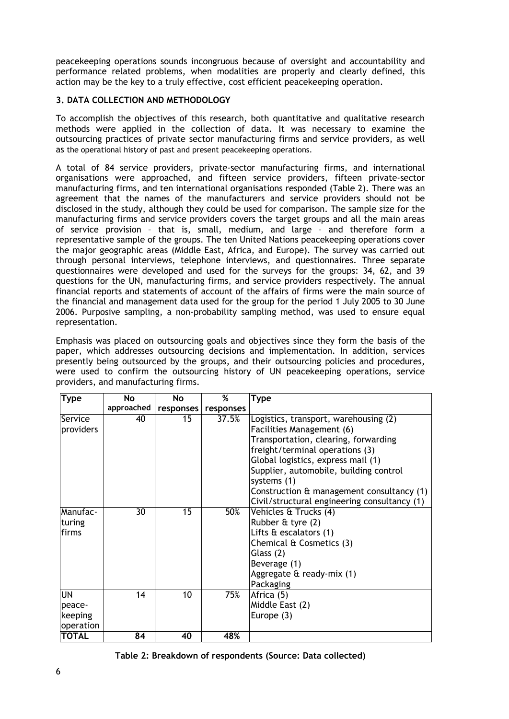peacekeeping operations sounds incongruous because of oversight and accountability and performance related problems, when modalities are properly and clearly defined, this action may be the key to a truly effective, cost efficient peacekeeping operation.

## **3. DATA COLLECTION AND METHODOLOGY**

To accomplish the objectives of this research, both quantitative and qualitative research methods were applied in the collection of data. It was necessary to examine the outsourcing practices of private sector manufacturing firms and service providers, as well as the operational history of past and present peacekeeping operations.

A total of 84 service providers, private-sector manufacturing firms, and international organisations were approached, and fifteen service providers, fifteen private-sector manufacturing firms, and ten international organisations responded (Table 2). There was an agreement that the names of the manufacturers and service providers should not be disclosed in the study, although they could be used for comparison. The sample size for the manufacturing firms and service providers covers the target groups and all the main areas of service provision – that is, small, medium, and large – and therefore form a representative sample of the groups. The ten United Nations peacekeeping operations cover the major geographic areas (Middle East, Africa, and Europe). The survey was carried out through personal interviews, telephone interviews, and questionnaires. Three separate questionnaires were developed and used for the surveys for the groups: 34, 62, and 39 questions for the UN, manufacturing firms, and service providers respectively. The annual financial reports and statements of account of the affairs of firms were the main source of the financial and management data used for the group for the period 1 July 2005 to 30 June 2006. Purposive sampling, a non-probability sampling method, was used to ensure equal representation.

Emphasis was placed on outsourcing goals and objectives since they form the basis of the paper, which addresses outsourcing decisions and implementation. In addition, services presently being outsourced by the groups, and their outsourcing policies and procedures, were used to confirm the outsourcing history of UN peacekeeping operations, service providers, and manufacturing firms.

| <b>Type</b> | No         | No        | %         | <b>Type</b>                                  |
|-------------|------------|-----------|-----------|----------------------------------------------|
|             | approached | responses | responses |                                              |
| Service     | 40         | 15        | 37.5%     | Logistics, transport, warehousing (2)        |
| providers   |            |           |           | Facilities Management (6)                    |
|             |            |           |           | Transportation, clearing, forwarding         |
|             |            |           |           | freight/terminal operations (3)              |
|             |            |           |           | Global logistics, express mail (1)           |
|             |            |           |           | Supplier, automobile, building control       |
|             |            |           |           | systems (1)                                  |
|             |            |           |           | Construction & management consultancy (1)    |
|             |            |           |           | Civil/structural engineering consultancy (1) |
| Manufac-    | 30         | 15        | 50%       | Vehicles & Trucks (4)                        |
| turing      |            |           |           | Rubber & tyre (2)                            |
| firms       |            |           |           | Lifts & escalators (1)                       |
|             |            |           |           | Chemical & Cosmetics (3)                     |
|             |            |           |           | Glass (2)                                    |
|             |            |           |           | Beverage (1)                                 |
|             |            |           |           | Aggregate & ready-mix (1)                    |
|             |            |           |           | Packaging                                    |
| UN          | 14         | 10        | 75%       | Africa (5)                                   |
| peace-      |            |           |           | Middle East (2)                              |
| keeping     |            |           |           | Europe (3)                                   |
| operation   |            |           |           |                                              |
| TOTAL       | 84         | 40        | 48%       |                                              |

| Table 2: Breakdown of respondents (Source: Data collected) |  |
|------------------------------------------------------------|--|
|------------------------------------------------------------|--|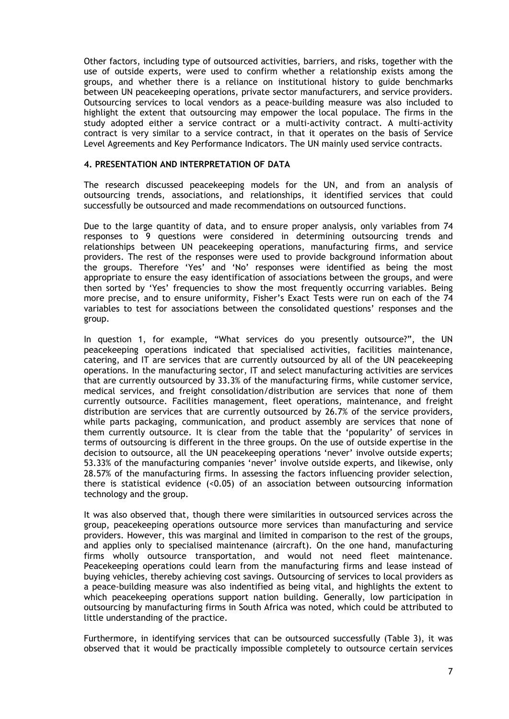Other factors, including type of outsourced activities, barriers, and risks, together with the use of outside experts, were used to confirm whether a relationship exists among the groups, and whether there is a reliance on institutional history to guide benchmarks between UN peacekeeping operations, private sector manufacturers, and service providers. Outsourcing services to local vendors as a peace-building measure was also included to highlight the extent that outsourcing may empower the local populace. The firms in the study adopted either a service contract or a multi-activity contract. A multi-activity contract is very similar to a service contract, in that it operates on the basis of Service Level Agreements and Key Performance Indicators. The UN mainly used service contracts.

### **4. PRESENTATION AND INTERPRETATION OF DATA**

The research discussed peacekeeping models for the UN, and from an analysis of outsourcing trends, associations, and relationships, it identified services that could successfully be outsourced and made recommendations on outsourced functions.

Due to the large quantity of data, and to ensure proper analysis, only variables from 74 responses to 9 questions were considered in determining outsourcing trends and relationships between UN peacekeeping operations, manufacturing firms, and service providers. The rest of the responses were used to provide background information about the groups. Therefore 'Yes' and 'No' responses were identified as being the most appropriate to ensure the easy identification of associations between the groups, and were then sorted by 'Yes' frequencies to show the most frequently occurring variables. Being more precise, and to ensure uniformity, Fisher's Exact Tests were run on each of the 74 variables to test for associations between the consolidated questions' responses and the group.

In question 1, for example, "What services do you presently outsource?", the UN peacekeeping operations indicated that specialised activities, facilities maintenance, catering, and IT are services that are currently outsourced by all of the UN peacekeeping operations. In the manufacturing sector, IT and select manufacturing activities are services that are currently outsourced by 33.3% of the manufacturing firms, while customer service, medical services, and freight consolidation/distribution are services that none of them currently outsource. Facilities management, fleet operations, maintenance, and freight distribution are services that are currently outsourced by 26.7% of the service providers, while parts packaging, communication, and product assembly are services that none of them currently outsource. It is clear from the table that the 'popularity' of services in terms of outsourcing is different in the three groups. On the use of outside expertise in the decision to outsource, all the UN peacekeeping operations 'never' involve outside experts; 53.33% of the manufacturing companies 'never' involve outside experts, and likewise, only 28.57% of the manufacturing firms. In assessing the factors influencing provider selection, there is statistical evidence (<0.05) of an association between outsourcing information technology and the group.

It was also observed that, though there were similarities in outsourced services across the group, peacekeeping operations outsource more services than manufacturing and service providers. However, this was marginal and limited in comparison to the rest of the groups, and applies only to specialised maintenance (aircraft). On the one hand, manufacturing firms wholly outsource transportation, and would not need fleet maintenance. Peacekeeping operations could learn from the manufacturing firms and lease instead of buying vehicles, thereby achieving cost savings. Outsourcing of services to local providers as a peace-building measure was also indentified as being vital, and highlights the extent to which peacekeeping operations support nation building. Generally, low participation in outsourcing by manufacturing firms in South Africa was noted, which could be attributed to little understanding of the practice.

Furthermore, in identifying services that can be outsourced successfully (Table 3), it was observed that it would be practically impossible completely to outsource certain services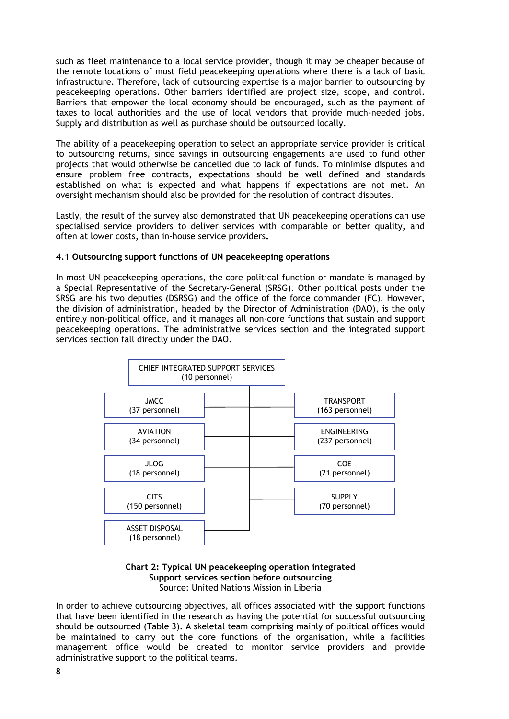such as fleet maintenance to a local service provider, though it may be cheaper because of the remote locations of most field peacekeeping operations where there is a lack of basic infrastructure. Therefore, lack of outsourcing expertise is a major barrier to outsourcing by peacekeeping operations. Other barriers identified are project size, scope, and control. Barriers that empower the local economy should be encouraged, such as the payment of taxes to local authorities and the use of local vendors that provide much-needed jobs. Supply and distribution as well as purchase should be outsourced locally.

The ability of a peacekeeping operation to select an appropriate service provider is critical to outsourcing returns, since savings in outsourcing engagements are used to fund other projects that would otherwise be cancelled due to lack of funds. To minimise disputes and ensure problem free contracts, expectations should be well defined and standards established on what is expected and what happens if expectations are not met. An oversight mechanism should also be provided for the resolution of contract disputes.

Lastly, the result of the survey also demonstrated that UN peacekeeping operations can use specialised service providers to deliver services with comparable or better quality, and often at lower costs, than in-house service providers**.** 

## **4.1 Outsourcing support functions of UN peacekeeping operations**

In most UN peacekeeping operations, the core political function or mandate is managed by a Special Representative of the Secretary-General (SRSG). Other political posts under the SRSG are his two deputies (DSRSG) and the office of the force commander (FC). However, the division of administration, headed by the Director of Administration (DAO), is the only entirely non-political office, and it manages all non-core functions that sustain and support peacekeeping operations. The administrative services section and the integrated support services section fall directly under the DAO.



#### **Chart 2: Typical UN peacekeeping operation integrated Support services section before outsourcing**  Source: United Nations Mission in Liberia

In order to achieve outsourcing objectives, all offices associated with the support functions that have been identified in the research as having the potential for successful outsourcing should be outsourced (Table 3). A skeletal team comprising mainly of political offices would be maintained to carry out the core functions of the organisation, while a facilities management office would be created to monitor service providers and provide administrative support to the political teams.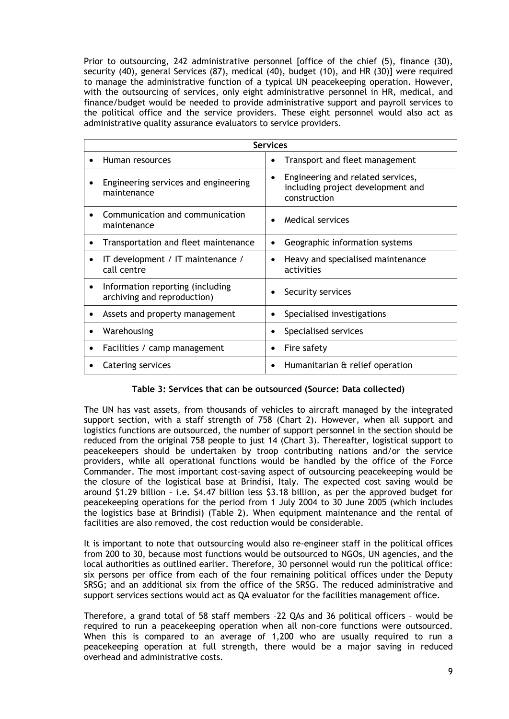Prior to outsourcing, 242 administrative personnel [office of the chief (5), finance (30), security (40), general Services (87), medical (40), budget (10), and HR (30)] were required to manage the administrative function of a typical UN peacekeeping operation. However, with the outsourcing of services, only eight administrative personnel in HR, medical, and finance/budget would be needed to provide administrative support and payroll services to the political office and the service providers. These eight personnel would also act as administrative quality assurance evaluators to service providers.

| <b>Services</b>                                                              |                                                                                             |  |  |  |
|------------------------------------------------------------------------------|---------------------------------------------------------------------------------------------|--|--|--|
| Human resources                                                              | Transport and fleet management                                                              |  |  |  |
| Engineering services and engineering<br>maintenance                          | Engineering and related services,<br>٠<br>including project development and<br>construction |  |  |  |
| Communication and communication<br>maintenance                               | Medical services                                                                            |  |  |  |
| Transportation and fleet maintenance                                         | Geographic information systems                                                              |  |  |  |
| IT development / IT maintenance /<br>٠<br>call centre                        | Heavy and specialised maintenance<br>$\bullet$<br>activities                                |  |  |  |
| Information reporting (including<br>$\bullet$<br>archiving and reproduction) | Security services                                                                           |  |  |  |
| Assets and property management                                               | Specialised investigations                                                                  |  |  |  |
| Warehousing                                                                  | Specialised services                                                                        |  |  |  |
| Facilities / camp management                                                 | Fire safety                                                                                 |  |  |  |
| Catering services                                                            | Humanitarian & relief operation<br>٠                                                        |  |  |  |

## **Table 3: Services that can be outsourced (Source: Data collected)**

The UN has vast assets, from thousands of vehicles to aircraft managed by the integrated support section, with a staff strength of 758 (Chart 2). However, when all support and logistics functions are outsourced, the number of support personnel in the section should be reduced from the original 758 people to just 14 (Chart 3). Thereafter, logistical support to peacekeepers should be undertaken by troop contributing nations and/or the service providers, while all operational functions would be handled by the office of the Force Commander. The most important cost-saving aspect of outsourcing peacekeeping would be the closure of the logistical base at Brindisi, Italy. The expected cost saving would be around \$1.29 billion – i.e. \$4.47 billion less \$3.18 billion, as per the approved budget for peacekeeping operations for the period from 1 July 2004 to 30 June 2005 (which includes the logistics base at Brindisi) (Table 2). When equipment maintenance and the rental of facilities are also removed, the cost reduction would be considerable.

It is important to note that outsourcing would also re-engineer staff in the political offices from 200 to 30, because most functions would be outsourced to NGOs, UN agencies, and the local authorities as outlined earlier. Therefore, 30 personnel would run the political office: six persons per office from each of the four remaining political offices under the Deputy SRSG; and an additional six from the office of the SRSG. The reduced administrative and support services sections would act as QA evaluator for the facilities management office.

Therefore, a grand total of 58 staff members –22 QAs and 36 political officers – would be required to run a peacekeeping operation when all non-core functions were outsourced. When this is compared to an average of 1,200 who are usually required to run a peacekeeping operation at full strength, there would be a major saving in reduced overhead and administrative costs.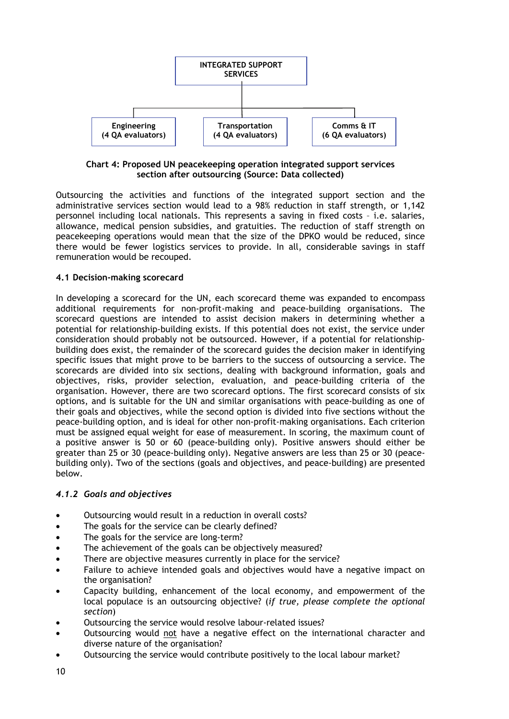

## **Chart 4: Proposed UN peacekeeping operation integrated support services section after outsourcing (Source: Data collected)**

Outsourcing the activities and functions of the integrated support section and the administrative services section would lead to a 98% reduction in staff strength, or 1,142 personnel including local nationals. This represents a saving in fixed costs – i.e. salaries, allowance, medical pension subsidies, and gratuities. The reduction of staff strength on peacekeeping operations would mean that the size of the DPKO would be reduced, since there would be fewer logistics services to provide. In all, considerable savings in staff remuneration would be recouped.

## **4.1 Decision-making scorecard**

In developing a scorecard for the UN, each scorecard theme was expanded to encompass additional requirements for non-profit-making and peace-building organisations. The scorecard questions are intended to assist decision makers in determining whether a potential for relationship-building exists. If this potential does not exist, the service under consideration should probably not be outsourced. However, if a potential for relationshipbuilding does exist, the remainder of the scorecard guides the decision maker in identifying specific issues that might prove to be barriers to the success of outsourcing a service. The scorecards are divided into six sections, dealing with background information, goals and objectives, risks, provider selection, evaluation, and peace-building criteria of the organisation. However, there are two scorecard options. The first scorecard consists of six options, and is suitable for the UN and similar organisations with peace-building as one of their goals and objectives, while the second option is divided into five sections without the peace-building option, and is ideal for other non-profit-making organisations. Each criterion must be assigned equal weight for ease of measurement. In scoring, the maximum count of a positive answer is 50 or 60 (peace-building only). Positive answers should either be greater than 25 or 30 (peace-building only). Negative answers are less than 25 or 30 (peacebuilding only). Two of the sections (goals and objectives, and peace-building) are presented below.

## *4.1.2 Goals and objectives*

- Outsourcing would result in a reduction in overall costs?
- The goals for the service can be clearly defined?
- The goals for the service are long-term?
- The achievement of the goals can be objectively measured?
- There are objective measures currently in place for the service?
- Failure to achieve intended goals and objectives would have a negative impact on the organisation?
- Capacity building, enhancement of the local economy, and empowerment of the local populace is an outsourcing objective? (*if true, please complete the optional section*)
- Outsourcing the service would resolve labour-related issues?
- Outsourcing would not have a negative effect on the international character and diverse nature of the organisation?
- Outsourcing the service would contribute positively to the local labour market?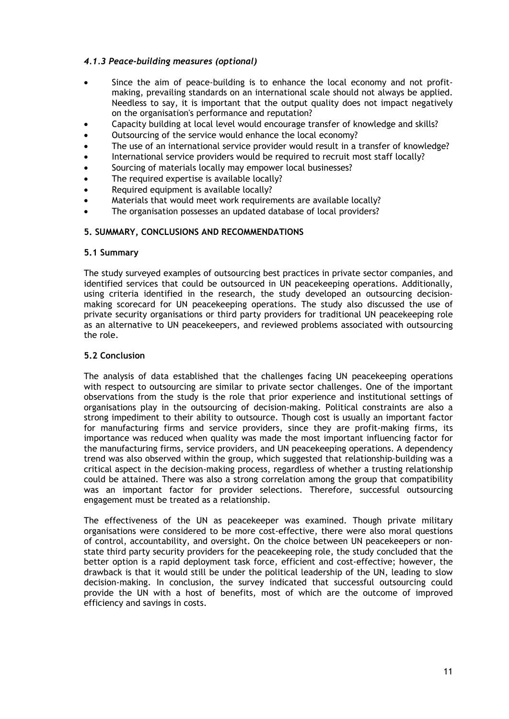## *4.1.3 Peace-building measures (optional)*

- Since the aim of peace-building is to enhance the local economy and not profitmaking, prevailing standards on an international scale should not always be applied. Needless to say, it is important that the output quality does not impact negatively on the organisation's performance and reputation?
- Capacity building at local level would encourage transfer of knowledge and skills?
- Outsourcing of the service would enhance the local economy?
- The use of an international service provider would result in a transfer of knowledge?
- International service providers would be required to recruit most staff locally?
- Sourcing of materials locally may empower local businesses?
- The required expertise is available locally?
- Required equipment is available locally?
- Materials that would meet work requirements are available locally?
- The organisation possesses an updated database of local providers?

## **5. SUMMARY, CONCLUSIONS AND RECOMMENDATIONS**

## **5.1 Summary**

The study surveyed examples of outsourcing best practices in private sector companies, and identified services that could be outsourced in UN peacekeeping operations. Additionally, using criteria identified in the research, the study developed an outsourcing decisionmaking scorecard for UN peacekeeping operations. The study also discussed the use of private security organisations or third party providers for traditional UN peacekeeping role as an alternative to UN peacekeepers, and reviewed problems associated with outsourcing the role.

## **5.2 Conclusion**

The analysis of data established that the challenges facing UN peacekeeping operations with respect to outsourcing are similar to private sector challenges. One of the important observations from the study is the role that prior experience and institutional settings of organisations play in the outsourcing of decision-making. Political constraints are also a strong impediment to their ability to outsource. Though cost is usually an important factor for manufacturing firms and service providers, since they are profit-making firms, its importance was reduced when quality was made the most important influencing factor for the manufacturing firms, service providers, and UN peacekeeping operations. A dependency trend was also observed within the group, which suggested that relationship-building was a critical aspect in the decision-making process, regardless of whether a trusting relationship could be attained. There was also a strong correlation among the group that compatibility was an important factor for provider selections. Therefore, successful outsourcing engagement must be treated as a relationship.

The effectiveness of the UN as peacekeeper was examined. Though private military organisations were considered to be more cost-effective, there were also moral questions of control, accountability, and oversight. On the choice between UN peacekeepers or nonstate third party security providers for the peacekeeping role, the study concluded that the better option is a rapid deployment task force, efficient and cost-effective; however, the drawback is that it would still be under the political leadership of the UN, leading to slow decision-making. In conclusion, the survey indicated that successful outsourcing could provide the UN with a host of benefits, most of which are the outcome of improved efficiency and savings in costs.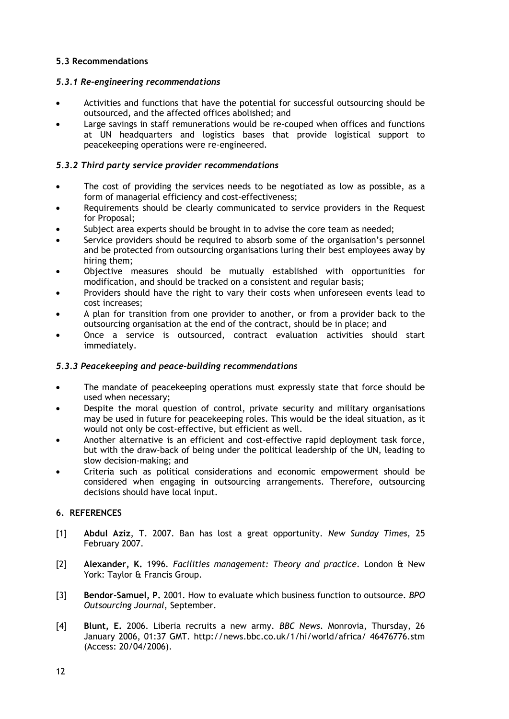## **5.3 Recommendations**

## *5.3.1 Re-engineering recommendations*

- Activities and functions that have the potential for successful outsourcing should be outsourced, and the affected offices abolished; and
- Large savings in staff remunerations would be re-couped when offices and functions at UN headquarters and logistics bases that provide logistical support to peacekeeping operations were re-engineered.

## *5.3.2 Third party service provider recommendations*

- The cost of providing the services needs to be negotiated as low as possible, as a form of managerial efficiency and cost-effectiveness;
- Requirements should be clearly communicated to service providers in the Request for Proposal;
- Subject area experts should be brought in to advise the core team as needed;
- Service providers should be required to absorb some of the organisation's personnel and be protected from outsourcing organisations luring their best employees away by hiring them;
- Objective measures should be mutually established with opportunities for modification, and should be tracked on a consistent and regular basis;
- Providers should have the right to vary their costs when unforeseen events lead to cost increases;
- A plan for transition from one provider to another, or from a provider back to the outsourcing organisation at the end of the contract, should be in place; and
- Once a service is outsourced, contract evaluation activities should start immediately.

## *5.3.3 Peacekeeping and peace-building recommendations*

- The mandate of peacekeeping operations must expressly state that force should be used when necessary;
- Despite the moral question of control, private security and military organisations may be used in future for peacekeeping roles. This would be the ideal situation, as it would not only be cost-effective, but efficient as well.
- Another alternative is an efficient and cost-effective rapid deployment task force, but with the draw-back of being under the political leadership of the UN, leading to slow decision-making; and
- Criteria such as political considerations and economic empowerment should be considered when engaging in outsourcing arrangements. Therefore, outsourcing decisions should have local input.

# **6. REFERENCES**

- [1] **Abdul Aziz**, T. 2007. Ban has lost a great opportunity. *New Sunday Times,* 25 February 2007.
- [2] **Alexander, K.** 1996. *Facilities management: Theory and practice*. London & New York: Taylor & Francis Group.
- [3] **Bendor-Samuel, P.** 2001. How to evaluate which business function to outsource. *BPO Outsourcing Journal*, September.
- [4] **Blunt, E.** 2006. Liberia recruits a new army. *BBC News*. Monrovia, Thursday, 26 January 2006, 01:37 GMT. http://news.bbc.co.uk/1/hi/world/africa/ 46476776.stm (Access: 20/04/2006).